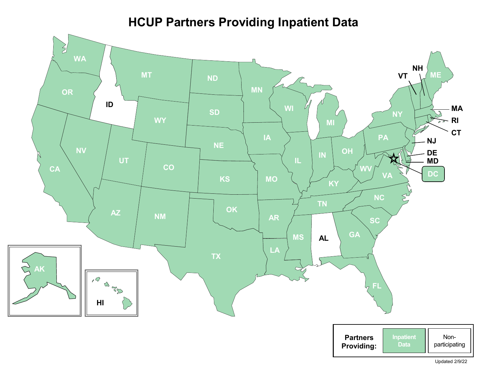## **HCUP Partners Providing Inpatient Data**



Updated 2/9/22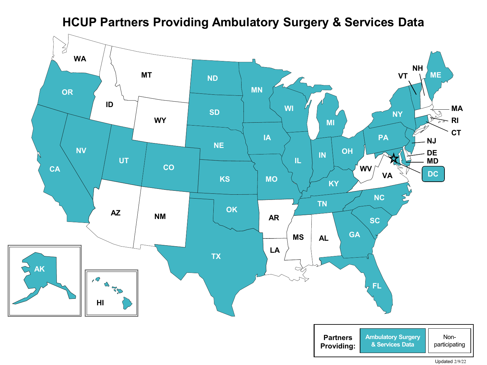**HCUP Partners Providing Ambulatory Surgery & Services Data**



Updated 2/9/22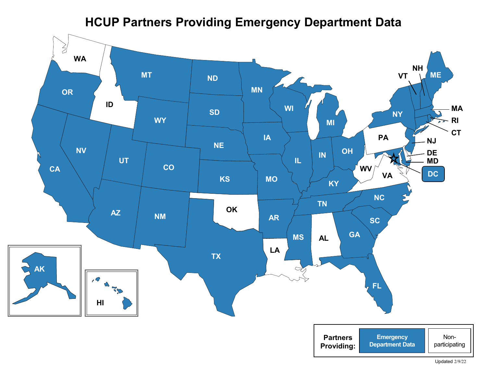## **HCUP Partners Providing Emergency Department Data**